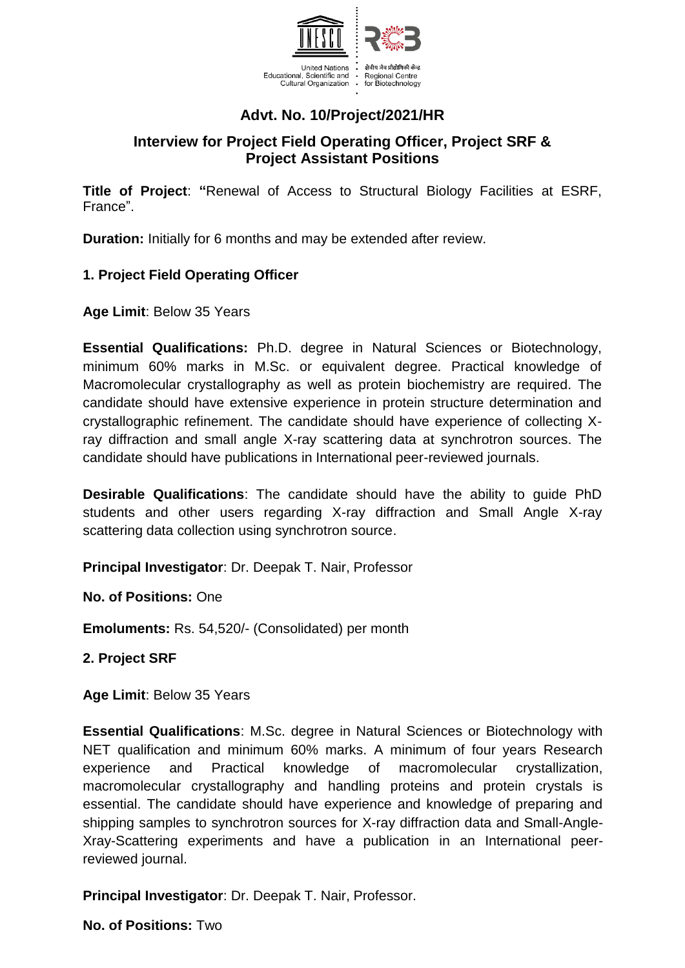

# **Advt. No. 10/Project/2021/HR**

## **Interview for Project Field Operating Officer, Project SRF & Project Assistant Positions**

**Title of Project**: **"**Renewal of Access to Structural Biology Facilities at ESRF, France".

**Duration:** Initially for 6 months and may be extended after review.

### **1. Project Field Operating Officer**

**Age Limit**: Below 35 Years

**Essential Qualifications:** Ph.D. degree in Natural Sciences or Biotechnology, minimum 60% marks in M.Sc. or equivalent degree. Practical knowledge of Macromolecular crystallography as well as protein biochemistry are required. The candidate should have extensive experience in protein structure determination and crystallographic refinement. The candidate should have experience of collecting Xray diffraction and small angle X-ray scattering data at synchrotron sources. The candidate should have publications in International peer-reviewed journals.

**Desirable Qualifications**: The candidate should have the ability to guide PhD students and other users regarding X-ray diffraction and Small Angle X-ray scattering data collection using synchrotron source.

**Principal Investigator**: Dr. Deepak T. Nair, Professor

**No. of Positions:** One

**Emoluments:** Rs. 54,520/- (Consolidated) per month

**2. Project SRF**

**Age Limit**: Below 35 Years

**Essential Qualifications**: M.Sc. degree in Natural Sciences or Biotechnology with NET qualification and minimum 60% marks. A minimum of four years Research experience and Practical knowledge of macromolecular crystallization, macromolecular crystallography and handling proteins and protein crystals is essential. The candidate should have experience and knowledge of preparing and shipping samples to synchrotron sources for X-ray diffraction data and Small-Angle-Xray-Scattering experiments and have a publication in an International peerreviewed journal.

**Principal Investigator**: Dr. Deepak T. Nair, Professor.

**No. of Positions:** Two